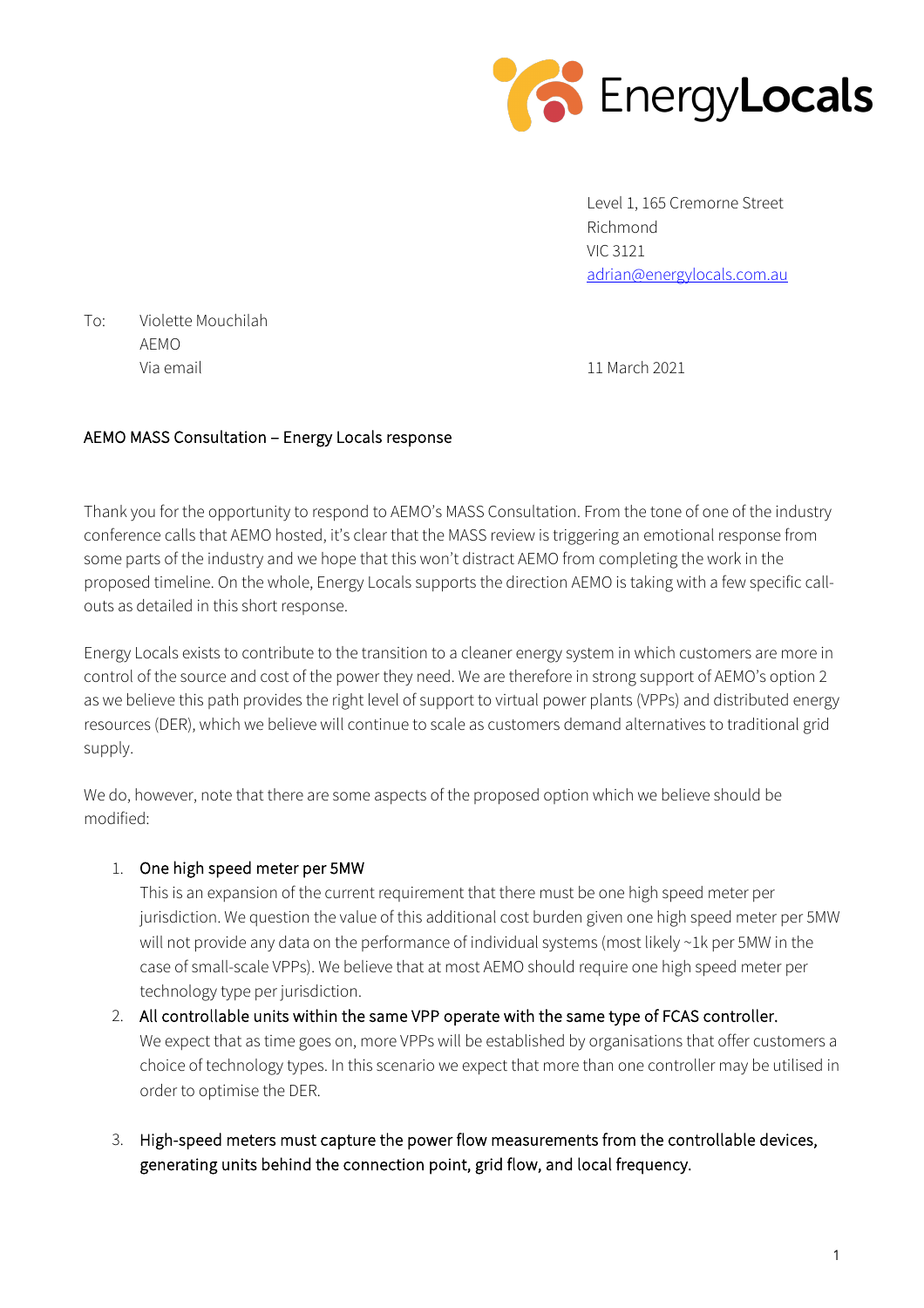

Level 1, 165 Cremorne Street Richmond VIC 3121 adrian@energylocals.com.au

To: Violette Mouchilah AEMO Via email 11 March 2021

## AEMO MASS Consultation – Energy Locals response

Thank you for the opportunity to respond to AEMO's MASS Consultation. From the tone of one of the industry conference calls that AEMO hosted, it's clear that the MASS review is triggering an emotional response from some parts of the industry and we hope that this won't distract AEMO from completing the work in the proposed timeline. On the whole, Energy Locals supports the direction AEMO is taking with a few specific callouts as detailed in this short response.

Energy Locals exists to contribute to the transition to a cleaner energy system in which customers are more in control of the source and cost of the power they need. We are therefore in strong support of AEMO's option 2 as we believe this path provides the right level of support to virtual power plants (VPPs) and distributed energy resources (DER), which we believe will continue to scale as customers demand alternatives to traditional grid supply.

We do, however, note that there are some aspects of the proposed option which we believe should be modified:

## 1. One high speed meter per 5MW

This is an expansion of the current requirement that there must be one high speed meter per jurisdiction. We question the value of this additional cost burden given one high speed meter per 5MW will not provide any data on the performance of individual systems (most likely ~1k per 5MW in the case of small-scale VPPs). We believe that at most AEMO should require one high speed meter per technology type per jurisdiction.

- 2. All controllable units within the same VPP operate with the same type of FCAS controller. We expect that as time goes on, more VPPs will be established by organisations that offer customers a choice of technology types. In this scenario we expect that more than one controller may be utilised in order to optimise the DER.
- 3. High-speed meters must capture the power flow measurements from the controllable devices, generating units behind the connection point, grid flow, and local frequency.